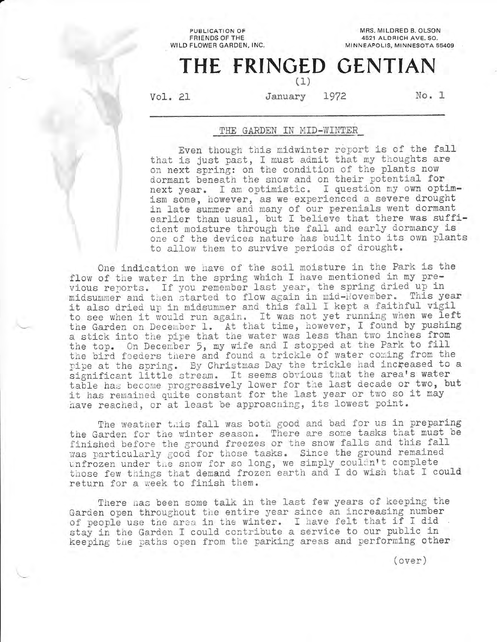PUBLICATION OF FRIENDS OF THE WILD FLOWER GARDEN, INC.

MRS. MILDRED B. OLSON 4521 ALDRICH AVE. SO. MINNEAPOLIS, MINNESOTA 55409

# THE FRINGED GENTIAN (1)

Vo1. 21

January 1972 No. 1

### THE GARDEN IN MID-WINTER

Even though this midwinter report is of the fall that is just past, I must admit that my thoughts are on next spring: on the condition of the plants now dormant beneath the snow and on their potential for next year. I am optimistic. I question my own optimism some, however, as we experienced a severe drought in late summer and many of our perenials went dormant earlier than usual, but I believe that there was sufficient moisture through the fall and early dormancy is one of the devices nature has built into its own plants to allow them to survive periods of drought.

One indication we have of the soil moisture in the Park is the flow of the water in the spring which I have mentioned in my preilow of the water in the spring which I have mentioned in my provise it is not in the spring dried up in midsummer and then started to flow again in mid-November. This year it also dried up in midsummer and this fall I kept a faithful vigil to see when it would run again. It was not yet running when we left the Garden on December 1. At that time, however, I found by pushing a stick into the pipe that the water was less than two inches from the top. On December 5, my wife and I stopped at the Park to fill the bird feeders there and found a trickle of water coming from the pipe at the spring. By Christmas Day the trickle had increased to a significant little stream. It seems obvious that the area's water table has become progressively lower for the last decade or two, but it has remained quite constant for the last year or two so it may have reached, or at least be approaching, its lowest point.

The weather this fall was both good and bad for us in preparing the Garden for the winter season. There are some tasks that must be finished before the ground freezes or the snow falls and this fall infished before the ground freezes of the shew fails and this fail was particularly good for shope cashed same and get and the complete those few things that demand frozen earth and I do wish that I could return for a week to finish them.

There has been some talk in the last few years of keeping the Garden open throughout the entire year since an increasing number of people use the area in the winter. I have felt that if I did stay in the Garden I could contribute a service to our public in keeping the paths open from the parking areas and performing other

( over )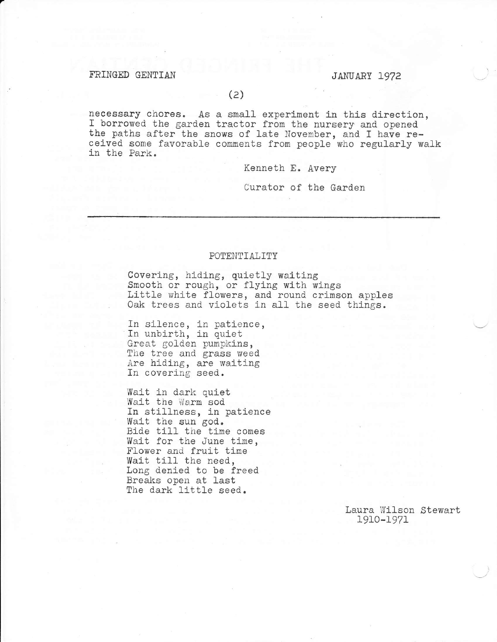## FRINGED GENTIAN JANUARY 1972

necessary chores. As a small experiment in this direction,<br>I borrowed the garden tractor from the nursery and opened<br>the paths after the snows of late November, and I have re-<br>ceived some favorable comments from people who

Kenneth E. Avery

Curator of the Garden

#### POTENTIALITY

Covering, hiding, quietly waiting<br>Smooth or rough, or flying with wings Little white flowers, and round crimson apples Oak trees and violets in all the seed things.

In silence, in patience, In unbirth, in quiet Great golden pumpkins, The tree and grass weed Are hiding, are waiting<br>In covering seed.

Wait in dark quiet<br>Wait the Warm sod In stillness, in patience<br>Wait the sun god. Bide till the time comes Wait for the June time, Flower and fruit tine Wait till the need, Long denied to be freed Breaks open at last The dark little seed.

> Laura Wilson Stewart 1910-1971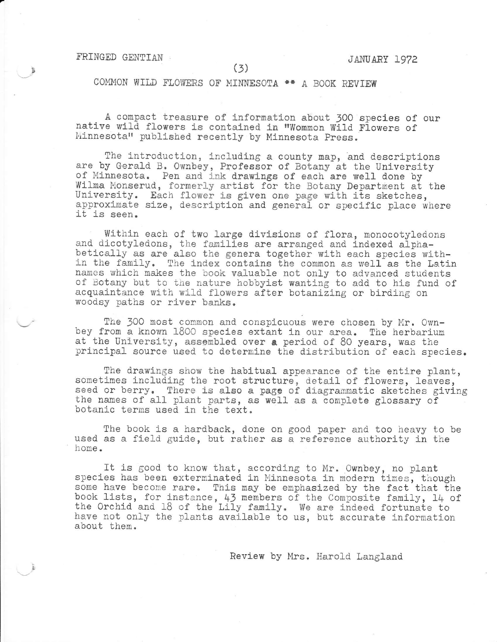#### TRINGED GENTIAN

COMMON WILD FLOWERS OF MINNESOTA \*\* A BOOK REVIEW

A compact treasure of information about 300 species of our native wild flowers is contained in "Wommon Wild Flowers of Minnesota" published recently by Minnesota Press.

The introduction, including a county map, and descriptions are by Gerald B. Ownbey, Professor of Botany at the University of Minnesota. Pen and ink drawings of each are well done by Wilma Monserud, formerly artist for the Botany Department at the University. Each flower is given one page with its sketches, approximate size, description and general or specific place where it is seen.

Within each of two large divisions of flora, monocotyledons and dicotyledons, the families are arranged and indexed alpha-<br>betically as are also the genera together with each species with-<br>in the family. The index contains the common as well as the Latin<br>names which makes the book of Botany but to the nature hobbyist wanting to add to his fund of acquaintance with wild flowers after botanizing or birding on woodsy paths or river banks.

The 300 most common and conspicuous were chosen by Mr. Own-<br>bey from a known 1800 species extant in our area. The herbarium<br>at the University, assembled over a period of 80 years, was the<br>principal source used to determine

The drawings show the habitual appearance of the entire plant, sometimes including the root structure, detail of flowers, leaves, seed or berry. There is also a page of diagrammatic sketches giving<br>the names of all plant parts, as well as a complete glossary of<br>botanic terms used in the text.

The book is a hardback, done on good paper and too heavy to be used as a field guide, but rather as a reference authority in the home.

It is good to know that, according to Mr. Ownbey, no plant species has been exterminated in Minnesota in modern times, though some have become rare. This nay be emphaslzed by the fact that the book lists, for instance, 43 members of the Composite family, 14 of the Orchid and 18 of the Lily family. We are indeed fortunate to have not only the plants available to us, but accurate information about them.

Review by Mrs. Harold Langland